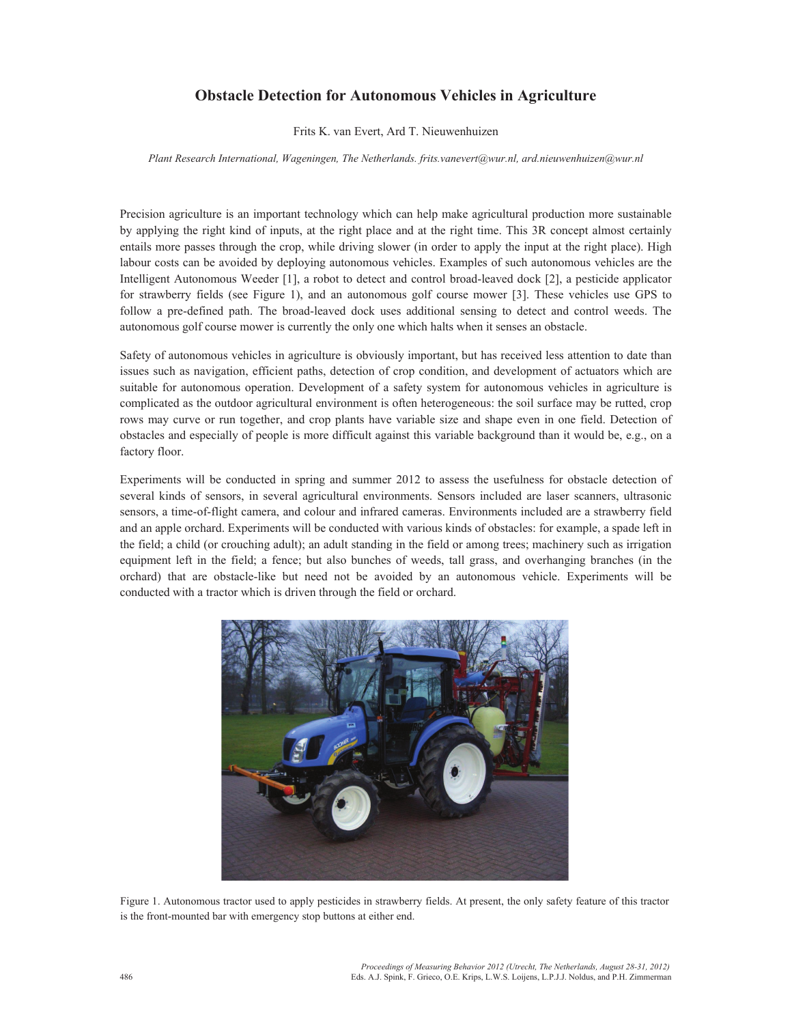## **Obstacle Detection for Autonomous Vehicles in Agriculture**

Frits K. van Evert, Ard T. Nieuwenhuizen

*Plant Research International, Wageningen, The Netherlands. frits.vanevert@wur.nl, ard.nieuwenhuizen@wur.nl*

Precision agriculture is an important technology which can help make agricultural production more sustainable by applying the right kind of inputs, at the right place and at the right time. This 3R concept almost certainly entails more passes through the crop, while driving slower (in order to apply the input at the right place). High labour costs can be avoided by deploying autonomous vehicles. Examples of such autonomous vehicles are the Intelligent Autonomous Weeder [1], a robot to detect and control broad-leaved dock [2], a pesticide applicator for strawberry fields (see Figure 1), and an autonomous golf course mower [3]. These vehicles use GPS to follow a pre-defined path. The broad-leaved dock uses additional sensing to detect and control weeds. The autonomous golf course mower is currently the only one which halts when it senses an obstacle.

Safety of autonomous vehicles in agriculture is obviously important, but has received less attention to date than issues such as navigation, efficient paths, detection of crop condition, and development of actuators which are suitable for autonomous operation. Development of a safety system for autonomous vehicles in agriculture is complicated as the outdoor agricultural environment is often heterogeneous: the soil surface may be rutted, crop rows may curve or run together, and crop plants have variable size and shape even in one field. Detection of obstacles and especially of people is more difficult against this variable background than it would be, e.g., on a factory floor.

Experiments will be conducted in spring and summer 2012 to assess the usefulness for obstacle detection of several kinds of sensors, in several agricultural environments. Sensors included are laser scanners, ultrasonic sensors, a time-of-flight camera, and colour and infrared cameras. Environments included are a strawberry field and an apple orchard. Experiments will be conducted with various kinds of obstacles: for example, a spade left in the field; a child (or crouching adult); an adult standing in the field or among trees; machinery such as irrigation equipment left in the field; a fence; but also bunches of weeds, tall grass, and overhanging branches (in the orchard) that are obstacle-like but need not be avoided by an autonomous vehicle. Experiments will be conducted with a tractor which is driven through the field or orchard.



Figure 1. Autonomous tractor used to apply pesticides in strawberry fields. At present, the only safety feature of this tractor is the front-mounted bar with emergency stop buttons at either end.